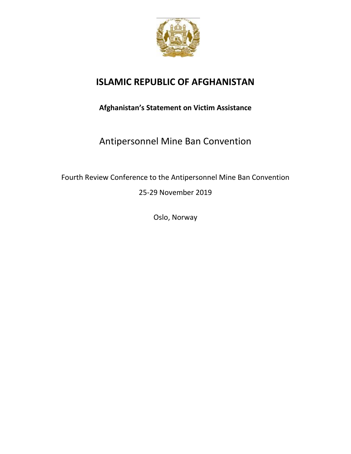

## **ISLAMIC REPUBLIC OF AFGHANISTAN**

**Afghanistan's Statement on Victim Assistance**

Antipersonnel Mine Ban Convention

Fourth Review Conference to the Antipersonnel Mine Ban Convention 25-29 November 2019

Oslo, Norway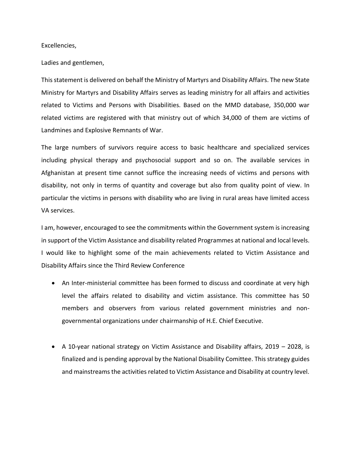Excellencies,

Ladies and gentlemen,

This statement is delivered on behalf the Ministry of Martyrs and Disability Affairs. The new State Ministry for Martyrs and Disability Affairs serves as leading ministry for all affairs and activities related to Victims and Persons with Disabilities. Based on the MMD database, 350,000 war related victims are registered with that ministry out of which 34,000 of them are victims of Landmines and Explosive Remnants of War.

The large numbers of survivors require access to basic healthcare and specialized services including physical therapy and psychosocial support and so on. The available services in Afghanistan at present time cannot suffice the increasing needs of victims and persons with disability, not only in terms of quantity and coverage but also from quality point of view. In particular the victims in persons with disability who are living in rural areas have limited access VA services.

I am, however, encouraged to see the commitments within the Government system is increasing in support of the Victim Assistance and disability related Programmes at national and local levels. I would like to highlight some of the main achievements related to Victim Assistance and Disability Affairs since the Third Review Conference

- An Inter-ministerial committee has been formed to discuss and coordinate at very high level the affairs related to disability and victim assistance. This committee has 50 members and observers from various related government ministries and nongovernmental organizations under chairmanship of H.E. Chief Executive.
- A 10-year national strategy on Victim Assistance and Disability affairs, 2019 2028, is finalized and is pending approval by the National Disability Comittee. This strategy guides and mainstreams the activities related to Victim Assistance and Disability at country level.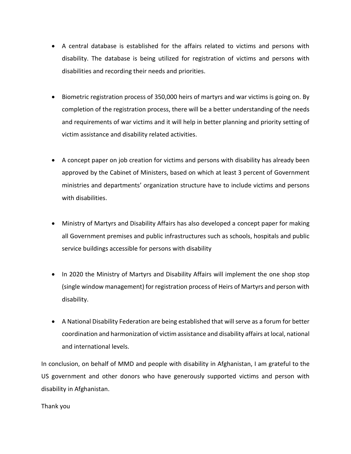- A central database is established for the affairs related to victims and persons with disability. The database is being utilized for registration of victims and persons with disabilities and recording their needs and priorities.
- Biometric registration process of 350,000 heirs of martyrs and war victims is going on. By completion of the registration process, there will be a better understanding of the needs and requirements of war victims and it will help in better planning and priority setting of victim assistance and disability related activities.
- A concept paper on job creation for victims and persons with disability has already been approved by the Cabinet of Ministers, based on which at least 3 percent of Government ministries and departments' organization structure have to include victims and persons with disabilities.
- Ministry of Martyrs and Disability Affairs has also developed a concept paper for making all Government premises and public infrastructures such as schools, hospitals and public service buildings accessible for persons with disability
- In 2020 the Ministry of Martyrs and Disability Affairs will implement the one shop stop (single window management) for registration process of Heirs of Martyrs and person with disability.
- A National Disability Federation are being established that will serve as a forum for better coordination and harmonization of victim assistance and disability affairs at local, national and international levels.

In conclusion, on behalf of MMD and people with disability in Afghanistan, I am grateful to the US government and other donors who have generously supported victims and person with disability in Afghanistan.

## Thank you